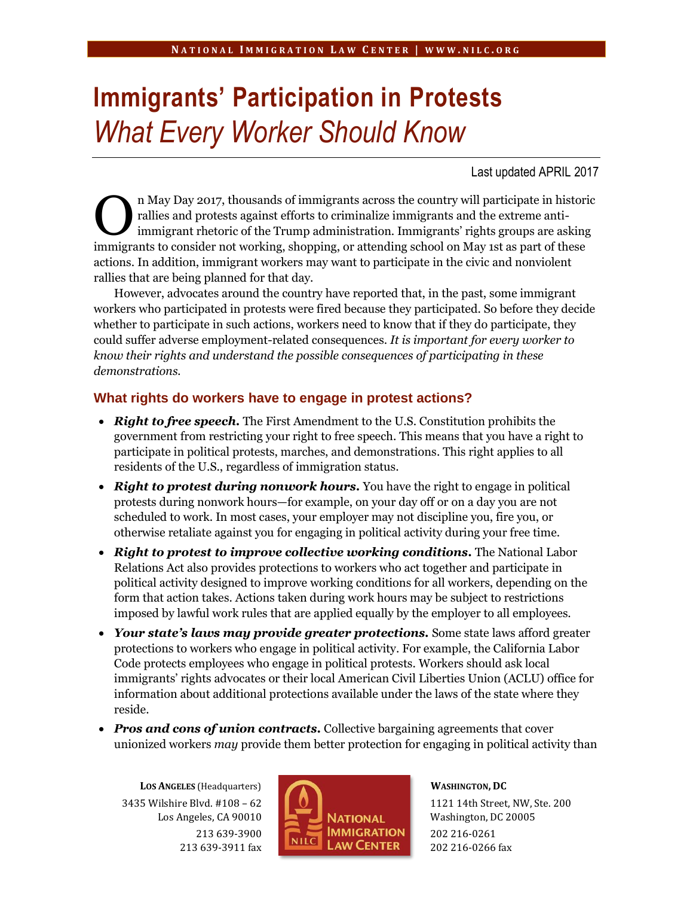# **Immigrants' Participation in Protests** *What Every Worker Should Know*

Last updated APRIL 2017

n May Day 2017, thousands of immigrants across the country will participate in historic rallies and protests against efforts to criminalize immigrants and the extreme antiimmigrant rhetoric of the Trump administration. Immigrants' rights groups are asking immigrants to consider not working, shopping, or attending school on May 1st as part of these actions. In addition, immigrant workers may want to participate in the civic and nonviolent rallies that are being planned for that day. O

However, advocates around the country have reported that, in the past, some immigrant workers who participated in protests were fired because they participated. So before they decide whether to participate in such actions, workers need to know that if they do participate, they could suffer adverse employment-related consequences. *It is important for every worker to know their rights and understand the possible consequences of participating in these demonstrations.*

#### **What rights do workers have to engage in protest actions?**

- *Right to free speech.* The First Amendment to the U.S. Constitution prohibits the government from restricting your right to free speech. This means that you have a right to participate in political protests, marches, and demonstrations. This right applies to all residents of the U.S., regardless of immigration status.
- *Right to protest during nonwork hours.* You have the right to engage in political protests during nonwork hours—for example, on your day off or on a day you are not scheduled to work. In most cases, your employer may not discipline you, fire you, or otherwise retaliate against you for engaging in political activity during your free time.
- *Right to protest to improve collective working conditions.* The National Labor Relations Act also provides protections to workers who act together and participate in political activity designed to improve working conditions for all workers, depending on the form that action takes. Actions taken during work hours may be subject to restrictions imposed by lawful work rules that are applied equally by the employer to all employees.
- *Your state's laws may provide greater protections.* Some state laws afford greater protections to workers who engage in political activity. For example, the California Labor Code protects employees who engage in political protests. Workers should ask local immigrants' rights advocates or their local American Civil Liberties Union (ACLU) office for information about additional protections available under the laws of the state where they reside.
- *Pros and cons of union contracts.* Collective bargaining agreements that cover unionized workers *may* provide them better protection for engaging in political activity than

**LOS ANGELES** (Headquarters) 3435 Wilshire Blvd. #108 – 62 Los Angeles, CA 90010 213 639-3900 213 639-3911 fax



**WASHINGTON, DC**

1121 14th Street, NW, Ste. 200 Washington, DC 20005 202 216-0261 202 216-0266 fax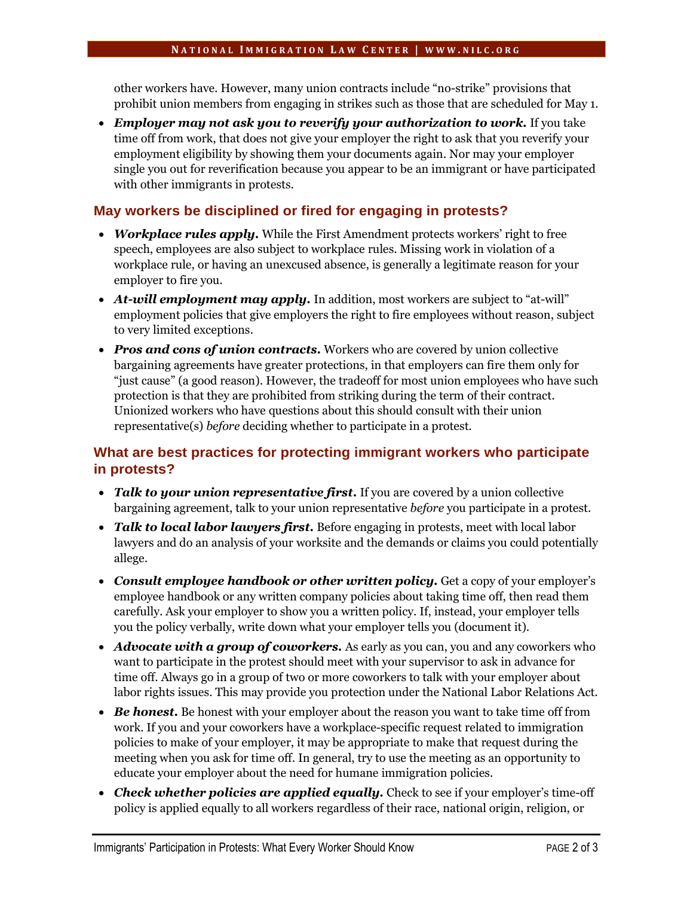other workers have. However, many union contracts include "no-strike" provisions that prohibit union members from engaging in strikes such as those that are scheduled for May 1.

 *Employer may not ask you to reverify your authorization to work.* If you take time off from work, that does not give your employer the right to ask that you reverify your employment eligibility by showing them your documents again. Nor may your employer single you out for reverification because you appear to be an immigrant or have participated with other immigrants in protests.

## **May workers be disciplined or fired for engaging in protests?**

- *Workplace rules apply.* While the First Amendment protects workers' right to free speech, employees are also subject to workplace rules. Missing work in violation of a workplace rule, or having an unexcused absence, is generally a legitimate reason for your employer to fire you.
- *At-will employment may apply.* In addition, most workers are subject to "at-will" employment policies that give employers the right to fire employees without reason, subject to very limited exceptions.
- *Pros and cons of union contracts.* Workers who are covered by union collective bargaining agreements have greater protections, in that employers can fire them only for "just cause" (a good reason). However, the tradeoff for most union employees who have such protection is that they are prohibited from striking during the term of their contract. Unionized workers who have questions about this should consult with their union representative(s) *before* deciding whether to participate in a protest.

## **What are best practices for protecting immigrant workers who participate in protests?**

- Talk to your union representative first. If you are covered by a union collective bargaining agreement, talk to your union representative *before* you participate in a protest.
- *Talk to local labor lawyers first.* Before engaging in protests, meet with local labor lawyers and do an analysis of your worksite and the demands or claims you could potentially allege.
- Consult employee handbook or other written policy. Get a copy of your employer's employee handbook or any written company policies about taking time off, then read them carefully. Ask your employer to show you a written policy. If, instead, your employer tells you the policy verbally, write down what your employer tells you (document it).
- *Advocate with a group of coworkers.* As early as you can, you and any coworkers who want to participate in the protest should meet with your supervisor to ask in advance for time off. Always go in a group of two or more coworkers to talk with your employer about labor rights issues. This may provide you protection under the National Labor Relations Act.
- Be honest. Be honest with your employer about the reason you want to take time off from work. If you and your coworkers have a workplace-specific request related to immigration policies to make of your employer, it may be appropriate to make that request during the meeting when you ask for time off. In general, try to use the meeting as an opportunity to educate your employer about the need for humane immigration policies.
- *Check whether policies are applied equally.* Check to see if your employer's time-off policy is applied equally to all workers regardless of their race, national origin, religion, or